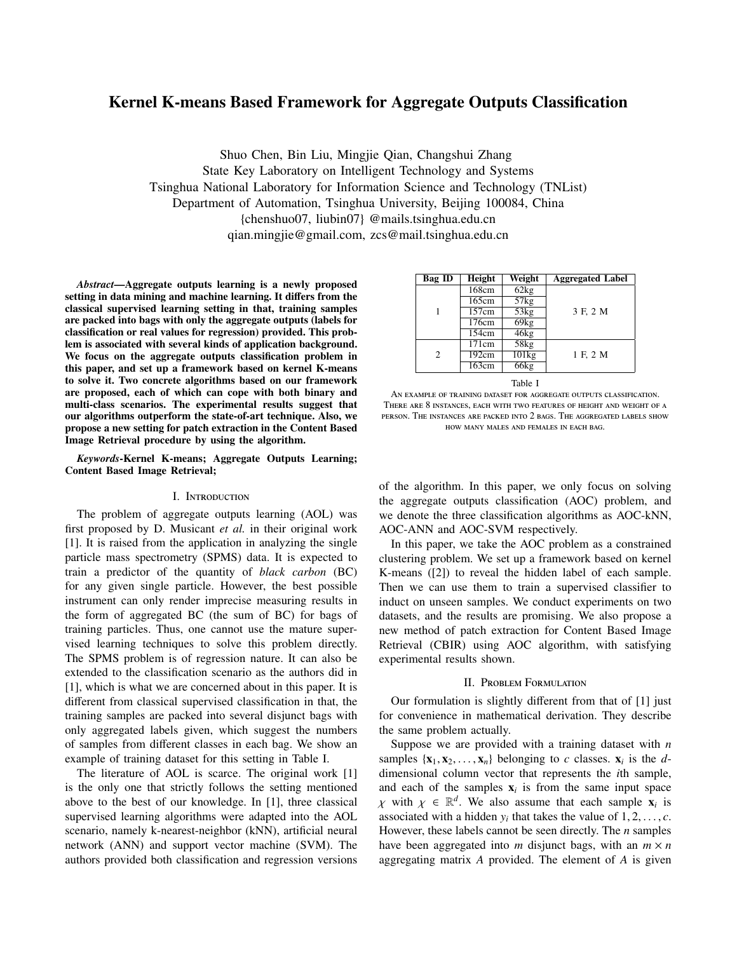# Kernel K-means Based Framework for Aggregate Outputs Classification

Shuo Chen, Bin Liu, Mingjie Qian, Changshui Zhang State Key Laboratory on Intelligent Technology and Systems Tsinghua National Laboratory for Information Science and Technology (TNList) Department of Automation, Tsinghua University, Beijing 100084, China {chenshuo07, liubin07} @mails.tsinghua.edu.cn qian.mingjie@gmail.com, zcs@mail.tsinghua.edu.cn

*Abstract*—Aggregate outputs learning is a newly proposed setting in data mining and machine learning. It differs from the classical supervised learning setting in that, training samples are packed into bags with only the aggregate outputs (labels for classification or real values for regression) provided. This problem is associated with several kinds of application background. We focus on the aggregate outputs classification problem in this paper, and set up a framework based on kernel K-means to solve it. Two concrete algorithms based on our framework are proposed, each of which can cope with both binary and multi-class scenarios. The experimental results suggest that our algorithms outperform the state-of-art technique. Also, we propose a new setting for patch extraction in the Content Based Image Retrieval procedure by using the algorithm.

*Keywords*-Kernel K-means; Aggregate Outputs Learning; Content Based Image Retrieval;

### I. Introduction

The problem of aggregate outputs learning (AOL) was first proposed by D. Musicant *et al.* in their original work [1]. It is raised from the application in analyzing the single particle mass spectrometry (SPMS) data. It is expected to train a predictor of the quantity of *black carbon* (BC) for any given single particle. However, the best possible instrument can only render imprecise measuring results in the form of aggregated BC (the sum of BC) for bags of training particles. Thus, one cannot use the mature supervised learning techniques to solve this problem directly. The SPMS problem is of regression nature. It can also be extended to the classification scenario as the authors did in [1], which is what we are concerned about in this paper. It is different from classical supervised classification in that, the training samples are packed into several disjunct bags with only aggregated labels given, which suggest the numbers of samples from different classes in each bag. We show an example of training dataset for this setting in Table I.

The literature of AOL is scarce. The original work [1] is the only one that strictly follows the setting mentioned above to the best of our knowledge. In [1], three classical supervised learning algorithms were adapted into the AOL scenario, namely k-nearest-neighbor (kNN), artificial neural network (ANN) and support vector machine (SVM). The authors provided both classification and regression versions

| Bag ID | <b>Height</b> | Weight  | <b>Aggregated Label</b> |
|--------|---------------|---------|-------------------------|
| 1      | 168cm         | 62kg    |                         |
|        | 165cm         | 57kg    |                         |
|        | 157cm         | 53kg    | 3 F, 2 M                |
|        | 176cm         | 69kg    |                         |
|        | 154cm         | 46kg    |                         |
| 2      | 171cm         | 58kg    |                         |
|        | 192cm         | 101kg   | 1 F, 2 M                |
|        | 163cm         | 66kg    |                         |
|        |               | Table I |                         |

An example of training dataset for aggregate outputs classification. There are 8 instances, each with two features of height and weight of a person. The instances are packed into 2 bags. The aggregated labels show how many males and females in each bag.

of the algorithm. In this paper, we only focus on solving the aggregate outputs classification (AOC) problem, and we denote the three classification algorithms as AOC-kNN, AOC-ANN and AOC-SVM respectively.

In this paper, we take the AOC problem as a constrained clustering problem. We set up a framework based on kernel K-means ([2]) to reveal the hidden label of each sample. Then we can use them to train a supervised classifier to induct on unseen samples. We conduct experiments on two datasets, and the results are promising. We also propose a new method of patch extraction for Content Based Image Retrieval (CBIR) using AOC algorithm, with satisfying experimental results shown.

# II. Problem Formulation

Our formulation is slightly different from that of [1] just for convenience in mathematical derivation. They describe the same problem actually.

Suppose we are provided with a training dataset with *n* samples  $\{x_1, x_2, \ldots, x_n\}$  belonging to *c* classes.  $x_i$  is the *d*-<br>dimensional column vector that represents the *i*th sample dimensional column vector that represents the *i*th sample, and each of the samples  $x_i$  is from the same input space  $\chi$  with  $\chi \in \mathbb{R}^d$ . We also assume that each sample  $\mathbf{x}_i$  is<br>associated with a hidden *y*<sub>i</sub> that takes the value of 1.2 associated with a hidden  $y_i$  that takes the value of  $1, 2, \ldots, c$ .<br>However, these labels cannot be seen directly. The *n* samples However, these labels cannot be seen directly. The *n* samples have been aggregated into *m* disjunct bags, with an  $m \times n$ aggregating matrix *A* provided. The element of *A* is given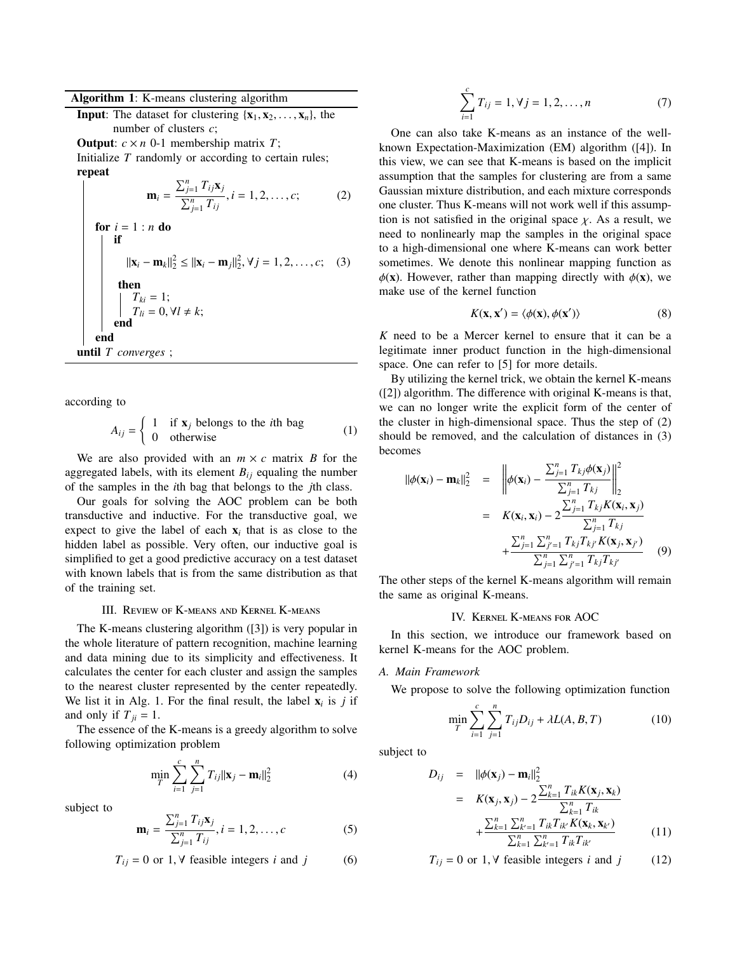# Algorithm 1: K-means clustering algorithm

**Input:** The dataset for clustering  $\{x_1, x_2, \ldots, x_n\}$ , the number of clusters *c*;

**Output:**  $c \times n$  0-1 membership matrix *T*;

Initialize *T* randomly or according to certain rules; repeat

$$
\mathbf{m}_{i} = \frac{\sum_{j=1}^{n} T_{ij} \mathbf{x}_{j}}{\sum_{j=1}^{n} T_{ij}}, i = 1, 2, \dots, c; \qquad (2)
$$
\n
$$
\text{for } i = 1 : n \text{ do}
$$
\n
$$
\|\mathbf{x}_{i} - \mathbf{m}_{k}\|_{2}^{2} \leq \|\mathbf{x}_{i} - \mathbf{m}_{j}\|_{2}^{2}, \forall j = 1, 2, \dots, c; \quad (3)
$$
\n
$$
\text{then}
$$
\n
$$
\begin{aligned}\nT_{ki} &= 1; \\
T_{li} &= 0, \forall l \neq k; \\
\text{end} \\
\text{until } T \text{ converges }; \qquad \text{if } i = 1, 2, \dots, c; \\
T_{ij} &= 0, \forall i \neq k;\n\end{aligned}
$$

according to

$$
A_{ij} = \begin{cases} 1 & \text{if } \mathbf{x}_j \text{ belongs to the } i\text{th bag} \\ 0 & \text{otherwise} \end{cases}
$$
 (1)

We are also provided with an  $m \times c$  matrix *B* for the aggregated labels, with its element  $B_{ij}$  equaling the number of the samples in the *i*th bag that belongs to the *j*th class.

Our goals for solving the AOC problem can be both transductive and inductive. For the transductive goal, we expect to give the label of each  $x_i$  that is as close to the hidden label as possible. Very often, our inductive goal is simplified to get a good predictive accuracy on a test dataset with known labels that is from the same distribution as that of the training set.

#### III. Review of K-means and Kernel K-means

The K-means clustering algorithm ([3]) is very popular in the whole literature of pattern recognition, machine learning and data mining due to its simplicity and effectiveness. It calculates the center for each cluster and assign the samples to the nearest cluster represented by the center repeatedly. We list it in Alg. 1. For the final result, the label  $\mathbf{x}_i$  is *j* if and only if  $T_{ii} = 1$ .

The essence of the K-means is a greedy algorithm to solve following optimization problem

$$
\min_{T} \sum_{i=1}^{c} \sum_{j=1}^{n} T_{ij} ||\mathbf{x}_{j} - \mathbf{m}_{i}||_{2}^{2}
$$
 (4)

subject to

$$
\mathbf{m}_{i} = \frac{\sum_{j=1}^{n} T_{ij} \mathbf{x}_{j}}{\sum_{j=1}^{n} T_{ij}}, i = 1, 2, ..., c
$$
 (5)

$$
T_{ij} = 0 \text{ or } 1, \forall \text{ feasible integers } i \text{ and } j \tag{6}
$$

$$
\sum_{i=1}^{c} T_{ij} = 1, \forall j = 1, 2, ..., n
$$
 (7)

One can also take K-means as an instance of the wellknown Expectation-Maximization (EM) algorithm ([4]). In this view, we can see that K-means is based on the implicit assumption that the samples for clustering are from a same Gaussian mixture distribution, and each mixture corresponds one cluster. Thus K-means will not work well if this assumption is not satisfied in the original space  $\chi$ . As a result, we need to nonlinearly map the samples in the original space to a high-dimensional one where K-means can work better sometimes. We denote this nonlinear mapping function as  $\phi(\mathbf{x})$ . However, rather than mapping directly with  $\phi(\mathbf{x})$ , we make use of the kernel function

$$
K(\mathbf{x}, \mathbf{x}') = \langle \phi(\mathbf{x}), \phi(\mathbf{x}') \rangle \tag{8}
$$

*K* need to be a Mercer kernel to ensure that it can be a legitimate inner product function in the high-dimensional space. One can refer to [5] for more details.

By utilizing the kernel trick, we obtain the kernel K-means ([2]) algorithm. The difference with original K-means is that, we can no longer write the explicit form of the center of the cluster in high-dimensional space. Thus the step of (2) should be removed, and the calculation of distances in (3) becomes

$$
\|\phi(\mathbf{x}_{i}) - \mathbf{m}_{k}\|_{2}^{2} = \left\|\phi(\mathbf{x}_{i}) - \frac{\sum_{j=1}^{n} T_{kj}\phi(\mathbf{x}_{j})}{\sum_{j=1}^{n} T_{kj}}\right\|_{2}^{2}
$$

$$
= K(\mathbf{x}_{i}, \mathbf{x}_{i}) - 2\frac{\sum_{j=1}^{n} T_{kj}K(\mathbf{x}_{i}, \mathbf{x}_{j})}{\sum_{j=1}^{n} T_{kj}}
$$

$$
+ \frac{\sum_{j=1}^{n} \sum_{j'=1}^{n} T_{kj}T_{kj'}K(\mathbf{x}_{j}, \mathbf{x}_{j'})}{\sum_{j=1}^{n} \sum_{j'=1}^{n} T_{kj}T_{kj'}} \qquad (9)
$$

The other steps of the kernel K-means algorithm will remain the same as original K-means.

# IV. Kernel K-means for AOC

In this section, we introduce our framework based on kernel K-means for the AOC problem.

# *A. Main Framework*

We propose to solve the following optimization function

$$
\min_{T} \sum_{i=1}^{c} \sum_{j=1}^{n} T_{ij} D_{ij} + \lambda L(A, B, T) \tag{10}
$$

subject to

$$
D_{ij} = ||\phi(\mathbf{x}_j) - \mathbf{m}_i||_2^2
$$
  
=  $K(\mathbf{x}_j, \mathbf{x}_j) - 2 \frac{\sum_{k=1}^n T_{ik} K(\mathbf{x}_j, \mathbf{x}_k)}{\sum_{k=1}^n T_{ik}}$   
+  $\frac{\sum_{k=1}^n \sum_{k'=1}^n T_{ik} T_{ik'} K(\mathbf{x}_k, \mathbf{x}_{k'})}{\sum_{k=1}^n \sum_{k'=1}^n T_{ik} T_{ik'}}$  (11)

 $T_{ij} = 0$  or 1,  $\forall$  feasible integers *i* and *j* (12)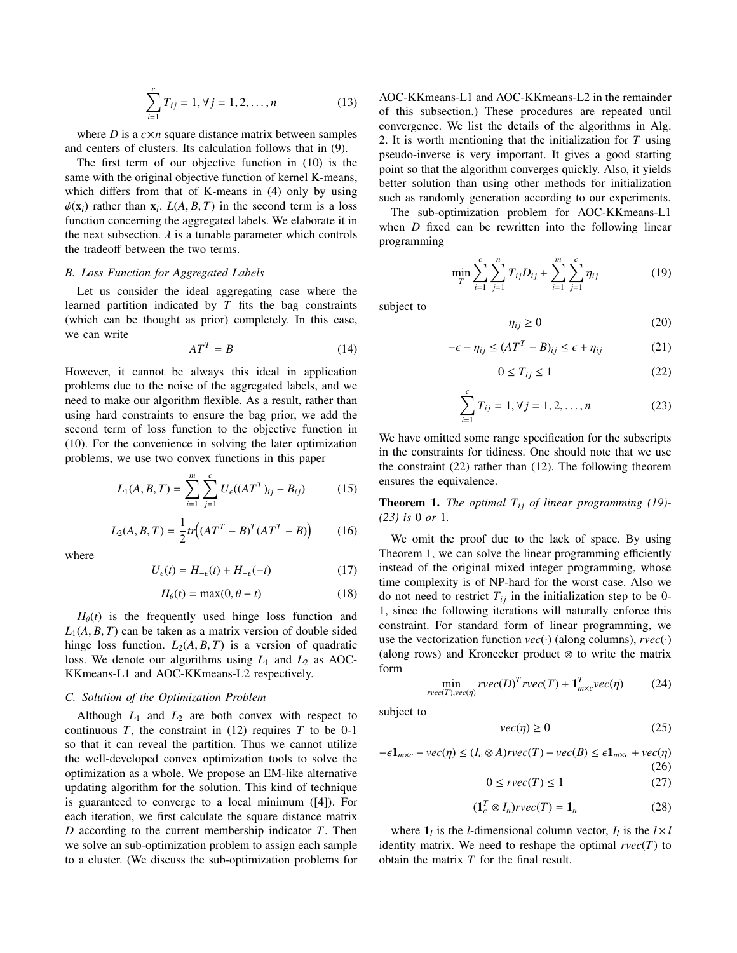$$
\sum_{i=1}^{c} T_{ij} = 1, \forall j = 1, 2, ..., n
$$
 (13)

where  $D$  is a  $c \times n$  square distance matrix between samples and centers of clusters. Its calculation follows that in (9).

The first term of our objective function in (10) is the same with the original objective function of kernel K-means, which differs from that of K-means in (4) only by using  $\phi(\mathbf{x}_i)$  rather than  $\mathbf{x}_i$ .  $L(A, B, T)$  in the second term is a loss function concerning the aggregated labels. We elaborate it in function concerning the aggregated labels. We elaborate it in the next subsection.  $\lambda$  is a tunable parameter which controls the tradeoff between the two terms.

#### *B. Loss Function for Aggregated Labels*

Let us consider the ideal aggregating case where the learned partition indicated by *T* fits the bag constraints (which can be thought as prior) completely. In this case, we can write

$$
AT^T = B \tag{14}
$$

However, it cannot be always this ideal in application problems due to the noise of the aggregated labels, and we need to make our algorithm flexible. As a result, rather than using hard constraints to ensure the bag prior, we add the second term of loss function to the objective function in (10). For the convenience in solving the later optimization problems, we use two convex functions in this paper

$$
L_1(A, B, T) = \sum_{i=1}^{m} \sum_{j=1}^{c} U_{\epsilon}((AT^T)_{ij} - B_{ij})
$$
 (15)

$$
L_2(A, B, T) = \frac{1}{2} tr((AT^T - B)^T (AT^T - B))
$$
 (16)

where

$$
U_{\epsilon}(t) = H_{-\epsilon}(t) + H_{-\epsilon}(-t) \tag{17}
$$

$$
H_{\theta}(t) = \max(0, \theta - t) \tag{18}
$$

 $H_{\theta}(t)$  is the frequently used hinge loss function and  $L_1(A, B, T)$  can be taken as a matrix version of double sided hinge loss function.  $L_2(A, B, T)$  is a version of quadratic loss. We denote our algorithms using  $L_1$  and  $L_2$  as AOC-KKmeans-L1 and AOC-KKmeans-L2 respectively.

#### *C. Solution of the Optimization Problem*

Although  $L_1$  and  $L_2$  are both convex with respect to continuous  $T$ , the constraint in  $(12)$  requires  $T$  to be 0-1 so that it can reveal the partition. Thus we cannot utilize the well-developed convex optimization tools to solve the optimization as a whole. We propose an EM-like alternative updating algorithm for the solution. This kind of technique is guaranteed to converge to a local minimum ([4]). For each iteration, we first calculate the square distance matrix *D* according to the current membership indicator *T*. Then we solve an sub-optimization problem to assign each sample to a cluster. (We discuss the sub-optimization problems for AOC-KKmeans-L1 and AOC-KKmeans-L2 in the remainder of this subsection.) These procedures are repeated until convergence. We list the details of the algorithms in Alg. 2. It is worth mentioning that the initialization for *T* using pseudo-inverse is very important. It gives a good starting point so that the algorithm converges quickly. Also, it yields better solution than using other methods for initialization such as randomly generation according to our experiments.

The sub-optimization problem for AOC-KKmeans-L1 when *D* fixed can be rewritten into the following linear programming

$$
\min_{T} \sum_{i=1}^{c} \sum_{j=1}^{n} T_{ij} D_{ij} + \sum_{i=1}^{m} \sum_{j=1}^{c} \eta_{ij}
$$
 (19)

subject to

$$
\eta_{ij} \ge 0 \tag{20}
$$

$$
-\epsilon - \eta_{ij} \le (AT^T - B)_{ij} \le \epsilon + \eta_{ij}
$$
 (21)

$$
0 \le T_{ij} \le 1\tag{22}
$$

$$
\sum_{i=1}^{c} T_{ij} = 1, \forall j = 1, 2, ..., n
$$
 (23)

We have omitted some range specification for the subscripts in the constraints for tidiness. One should note that we use the constraint (22) rather than (12). The following theorem ensures the equivalence.

**Theorem 1.** *The optimal*  $T_{ij}$  *of linear programming (19)-(23) is* 0 *or* 1*.*

We omit the proof due to the lack of space. By using Theorem 1, we can solve the linear programming efficiently instead of the original mixed integer programming, whose time complexity is of NP-hard for the worst case. Also we do not need to restrict  $T_{ij}$  in the initialization step to be 0-1, since the following iterations will naturally enforce this constraint. For standard form of linear programming, we use the vectorization function  $vec(\cdot)$  (along columns),  $rvec(\cdot)$ (along rows) and Kronecker product ⊗ to write the matrix form

$$
\min_{rvec(T),vec(\eta)} rvec(D)^T rvec(T) + \mathbf{1}_{m \times c}^T vec(\eta) \tag{24}
$$

subject to

$$
vec(\eta) \ge 0 \tag{25}
$$

 $-ε1_{m \times c} - vec(\eta) \leq (I_c \otimes A) r vec(T) - vec(B) \leq ε1_{m \times c} + vec(\eta)$ (26)  $0 \leq r \vee c(T) \leq 1$  (27)

$$
(\mathbf{1}_c^T \otimes I_n) r \text{vec}(T) = \mathbf{1}_n \tag{28}
$$

where  $\mathbf{1}_l$  is the *l*-dimensional column vector,  $I_l$  is the  $l \times l$ identity matrix. We need to reshape the optimal  $rvec(T)$  to obtain the matrix *T* for the final result.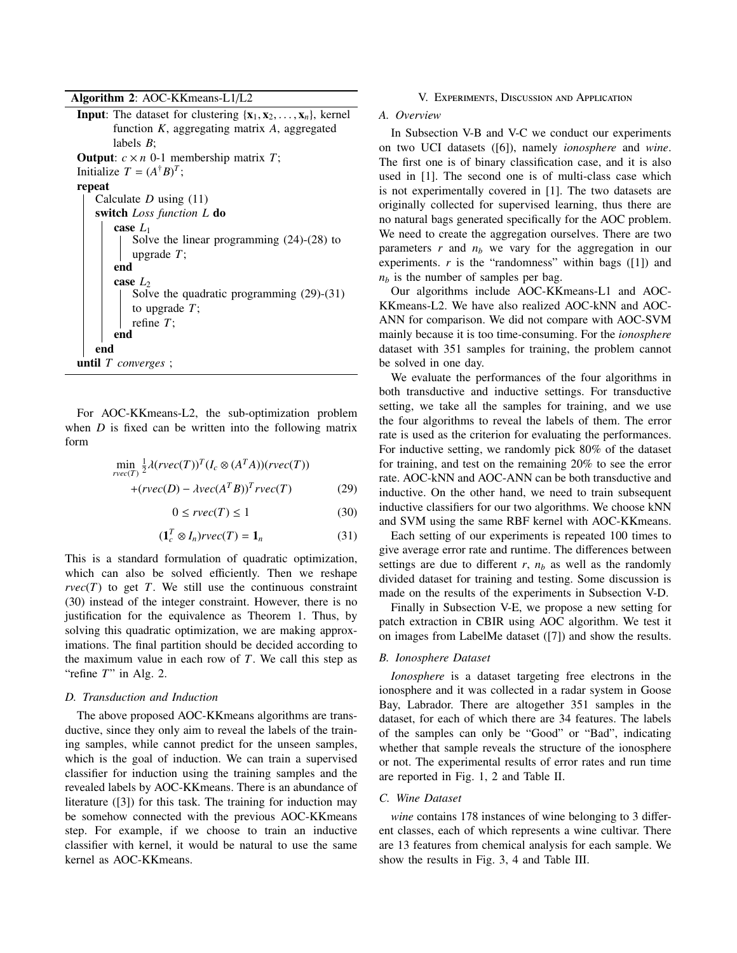Algorithm 2: AOC-KKmeans-L1/L2

**Input:** The dataset for clustering  $\{x_1, x_2, \ldots, x_n\}$ , kernel function *K*, aggregating matrix *A*, aggregated labels *B*; **Output:**  $c \times n$  0-1 membership matrix *T*; Initialize  $T = (A^{\dagger}B)^T$ ; repeat Calculate *D* using (11) switch *Loss function L* do case *L*<sup>1</sup> Solve the linear programming (24)-(28) to upgrade *T*; end case  $L_2$ Solve the quadratic programming (29)-(31) to upgrade *T*; refine *T*; end end until *T converges* ;

For AOC-KKmeans-L2, the sub-optimization problem when *D* is fixed can be written into the following matrix form

$$
\min_{rvec(T)} \frac{1}{2} \lambda(rvec(T))^T (I_c \otimes (A^T A))(rvec(T))
$$
  
+(rvec(D) -  $\lambda vec(A^T B))^T rvec(T)$  (29)

$$
0 \le r \nu e c(T) \le 1 \tag{30}
$$

$$
(\mathbf{1}_c^T \otimes I_n) r \, \text{vec}(T) = \mathbf{1}_n \tag{31}
$$

This is a standard formulation of quadratic optimization, which can also be solved efficiently. Then we reshape  $rvec(T)$  to get *T*. We still use the continuous constraint (30) instead of the integer constraint. However, there is no justification for the equivalence as Theorem 1. Thus, by solving this quadratic optimization, we are making approximations. The final partition should be decided according to the maximum value in each row of *T*. We call this step as "refine *T*" in Alg. 2.

#### *D. Transduction and Induction*

The above proposed AOC-KKmeans algorithms are transductive, since they only aim to reveal the labels of the training samples, while cannot predict for the unseen samples, which is the goal of induction. We can train a supervised classifier for induction using the training samples and the revealed labels by AOC-KKmeans. There is an abundance of literature ([3]) for this task. The training for induction may be somehow connected with the previous AOC-KKmeans step. For example, if we choose to train an inductive classifier with kernel, it would be natural to use the same kernel as AOC-KKmeans.

#### V. Experiments, Discussion and Application

# *A. Overview*

In Subsection V-B and V-C we conduct our experiments on two UCI datasets ([6]), namely *ionosphere* and *wine*. The first one is of binary classification case, and it is also used in [1]. The second one is of multi-class case which is not experimentally covered in [1]. The two datasets are originally collected for supervised learning, thus there are no natural bags generated specifically for the AOC problem. We need to create the aggregation ourselves. There are two parameters  $r$  and  $n_b$  we vary for the aggregation in our experiments.  $r$  is the "randomness" within bags  $([1])$  and  $n_b$  is the number of samples per bag.

Our algorithms include AOC-KKmeans-L1 and AOC-KKmeans-L2. We have also realized AOC-kNN and AOC-ANN for comparison. We did not compare with AOC-SVM mainly because it is too time-consuming. For the *ionosphere* dataset with 351 samples for training, the problem cannot be solved in one day.

We evaluate the performances of the four algorithms in both transductive and inductive settings. For transductive setting, we take all the samples for training, and we use the four algorithms to reveal the labels of them. The error rate is used as the criterion for evaluating the performances. For inductive setting, we randomly pick 80% of the dataset for training, and test on the remaining 20% to see the error rate. AOC-kNN and AOC-ANN can be both transductive and inductive. On the other hand, we need to train subsequent inductive classifiers for our two algorithms. We choose kNN and SVM using the same RBF kernel with AOC-KKmeans.

Each setting of our experiments is repeated 100 times to give average error rate and runtime. The differences between settings are due to different  $r$ ,  $n_b$  as well as the randomly divided dataset for training and testing. Some discussion is made on the results of the experiments in Subsection V-D.

Finally in Subsection V-E, we propose a new setting for patch extraction in CBIR using AOC algorithm. We test it on images from LabelMe dataset ([7]) and show the results.

#### *B. Ionosphere Dataset*

*Ionosphere* is a dataset targeting free electrons in the ionosphere and it was collected in a radar system in Goose Bay, Labrador. There are altogether 351 samples in the dataset, for each of which there are 34 features. The labels of the samples can only be "Good" or "Bad", indicating whether that sample reveals the structure of the ionosphere or not. The experimental results of error rates and run time are reported in Fig. 1, 2 and Table II.

# *C. Wine Dataset*

*wine* contains 178 instances of wine belonging to 3 different classes, each of which represents a wine cultivar. There are 13 features from chemical analysis for each sample. We show the results in Fig. 3, 4 and Table III.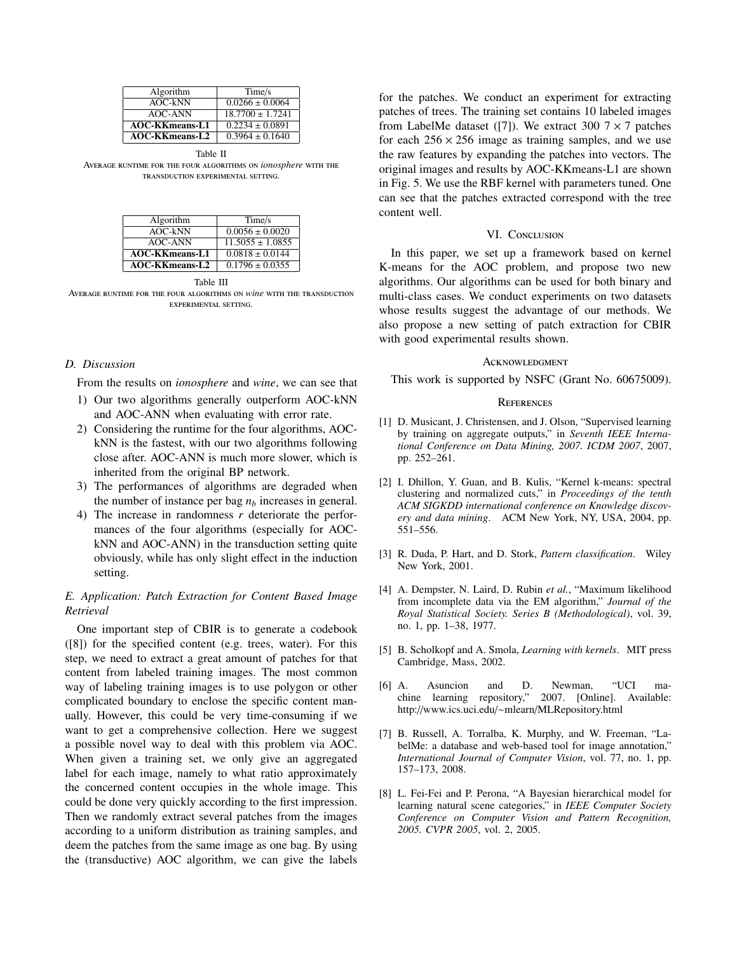| Algorithm             | Time/s              |
|-----------------------|---------------------|
| AOC-kNN               | $0.0266 \pm 0.0064$ |
| AOC-ANN               | $18.7700 + 1.7241$  |
| <b>AOC-KKmeans-L1</b> | $0.2234 \pm 0.0891$ |
| <b>AOC-KKmeans-L2</b> | $0.3964 \pm 0.1640$ |
|                       |                     |

Table II Average runtime for the four algorithms on *ionosphere* with the transduction experimental setting.

| Time/s               |
|----------------------|
| $0.0056 \pm 0.0020$  |
| $11.5055 \pm 1.0855$ |
| $0.0818 \pm 0.0144$  |
| $0.1796 \pm 0.0355$  |
|                      |

Table III

Average runtime for the four algorithms on *wine* with the transduction experimental setting.

# *D. Discussion*

From the results on *ionosphere* and *wine*, we can see that

- 1) Our two algorithms generally outperform AOC-kNN and AOC-ANN when evaluating with error rate.
- 2) Considering the runtime for the four algorithms, AOCkNN is the fastest, with our two algorithms following close after. AOC-ANN is much more slower, which is inherited from the original BP network.
- 3) The performances of algorithms are degraded when the number of instance per bag *n<sup>b</sup>* increases in general.
- 4) The increase in randomness *r* deteriorate the performances of the four algorithms (especially for AOCkNN and AOC-ANN) in the transduction setting quite obviously, while has only slight effect in the induction setting.

# *E. Application: Patch Extraction for Content Based Image Retrieval*

One important step of CBIR is to generate a codebook ([8]) for the specified content (e.g. trees, water). For this step, we need to extract a great amount of patches for that content from labeled training images. The most common way of labeling training images is to use polygon or other complicated boundary to enclose the specific content manually. However, this could be very time-consuming if we want to get a comprehensive collection. Here we suggest a possible novel way to deal with this problem via AOC. When given a training set, we only give an aggregated label for each image, namely to what ratio approximately the concerned content occupies in the whole image. This could be done very quickly according to the first impression. Then we randomly extract several patches from the images according to a uniform distribution as training samples, and deem the patches from the same image as one bag. By using the (transductive) AOC algorithm, we can give the labels for the patches. We conduct an experiment for extracting patches of trees. The training set contains 10 labeled images from LabelMe dataset ([7]). We extract 300  $7 \times 7$  patches for each  $256 \times 256$  image as training samples, and we use the raw features by expanding the patches into vectors. The original images and results by AOC-KKmeans-L1 are shown in Fig. 5. We use the RBF kernel with parameters tuned. One can see that the patches extracted correspond with the tree content well.

# VI. CONCLUSION

In this paper, we set up a framework based on kernel K-means for the AOC problem, and propose two new algorithms. Our algorithms can be used for both binary and multi-class cases. We conduct experiments on two datasets whose results suggest the advantage of our methods. We also propose a new setting of patch extraction for CBIR with good experimental results shown.

#### **ACKNOWLEDGMENT**

This work is supported by NSFC (Grant No. 60675009).

#### **REFERENCES**

- [1] D. Musicant, J. Christensen, and J. Olson, "Supervised learning by training on aggregate outputs," in *Seventh IEEE International Conference on Data Mining, 2007. ICDM 2007*, 2007, pp. 252–261.
- [2] I. Dhillon, Y. Guan, and B. Kulis, "Kernel k-means: spectral clustering and normalized cuts," in *Proceedings of the tenth ACM SIGKDD international conference on Knowledge discovery and data mining*. ACM New York, NY, USA, 2004, pp. 551–556.
- [3] R. Duda, P. Hart, and D. Stork, *Pattern classification*. Wiley New York, 2001.
- [4] A. Dempster, N. Laird, D. Rubin *et al.*, "Maximum likelihood from incomplete data via the EM algorithm," *Journal of the Royal Statistical Society. Series B (Methodological)*, vol. 39, no. 1, pp. 1–38, 1977.
- [5] B. Scholkopf and A. Smola, *Learning with kernels*. MIT press Cambridge, Mass, 2002.
- [6] A. Asuncion and D. Newman, "UCI machine learning repository," 2007. [Online]. Available: http://www.ics.uci.edu/∼mlearn/MLRepository.html
- [7] B. Russell, A. Torralba, K. Murphy, and W. Freeman, "LabelMe: a database and web-based tool for image annotation," *International Journal of Computer Vision*, vol. 77, no. 1, pp. 157–173, 2008.
- [8] L. Fei-Fei and P. Perona, "A Bayesian hierarchical model for learning natural scene categories," in *IEEE Computer Society Conference on Computer Vision and Pattern Recognition, 2005. CVPR 2005*, vol. 2, 2005.